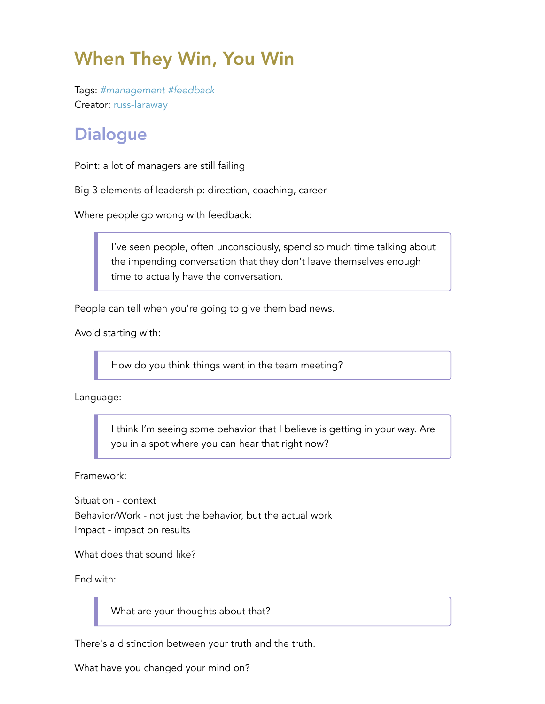## When They Win, You Win

Tags: *#management #feedback* Creator: russ-laraway

## **Dialogue**

Point: a lot of managers are still failing

Big 3 elements of leadership: direction, coaching, career

Where people go wrong with feedback:

I've seen people, often unconsciously, spend so much time talking about the impending conversation that they don't leave themselves enough time to actually have the conversation.

People can tell when you're going to give them bad news.

Avoid starting with:

How do you think things went in the team meeting?

Language:

I think I'm seeing some behavior that I believe is getting in your way. Are you in a spot where you can hear that right now?

Framework:

Situation - context Behavior/Work - not just the behavior, but the actual work Impact - impact on results

What does that sound like?

End with:

What are your thoughts about that?

There's a distinction between your truth and the truth.

What have you changed your mind on?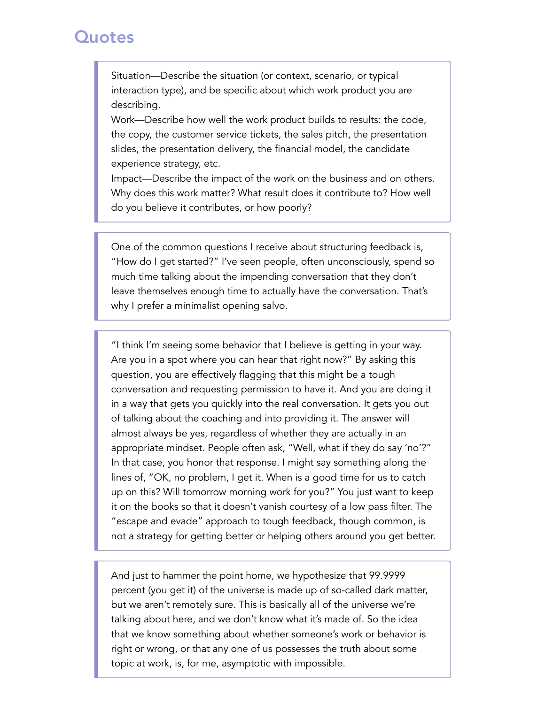## **Quotes**

Situation—Describe the situation (or context, scenario, or typical interaction type), and be specific about which work product you are describing.

Work—Describe how well the work product builds to results: the code, the copy, the customer service tickets, the sales pitch, the presentation slides, the presentation delivery, the financial model, the candidate experience strategy, etc.

Impact—Describe the impact of the work on the business and on others. Why does this work matter? What result does it contribute to? How well do you believe it contributes, or how poorly?

One of the common questions I receive about structuring feedback is, "How do I get started?" I've seen people, often unconsciously, spend so much time talking about the impending conversation that they don't leave themselves enough time to actually have the conversation. That's why I prefer a minimalist opening salvo.

"I think I'm seeing some behavior that I believe is getting in your way. Are you in a spot where you can hear that right now?" By asking this question, you are effectively flagging that this might be a tough conversation and requesting permission to have it. And you are doing it in a way that gets you quickly into the real conversation. It gets you out of talking about the coaching and into providing it. The answer will almost always be yes, regardless of whether they are actually in an appropriate mindset. People often ask, "Well, what if they do say 'no'?" In that case, you honor that response. I might say something along the lines of, "OK, no problem, I get it. When is a good time for us to catch up on this? Will tomorrow morning work for you?" You just want to keep it on the books so that it doesn't vanish courtesy of a low pass filter. The "escape and evade" approach to tough feedback, though common, is not a strategy for getting better or helping others around you get better.

And just to hammer the point home, we hypothesize that 99.9999 percent (you get it) of the universe is made up of so-called dark matter, but we aren't remotely sure. This is basically all of the universe we're talking about here, and we don't know what it's made of. So the idea that we know something about whether someone's work or behavior is right or wrong, or that any one of us possesses the truth about some topic at work, is, for me, asymptotic with impossible.